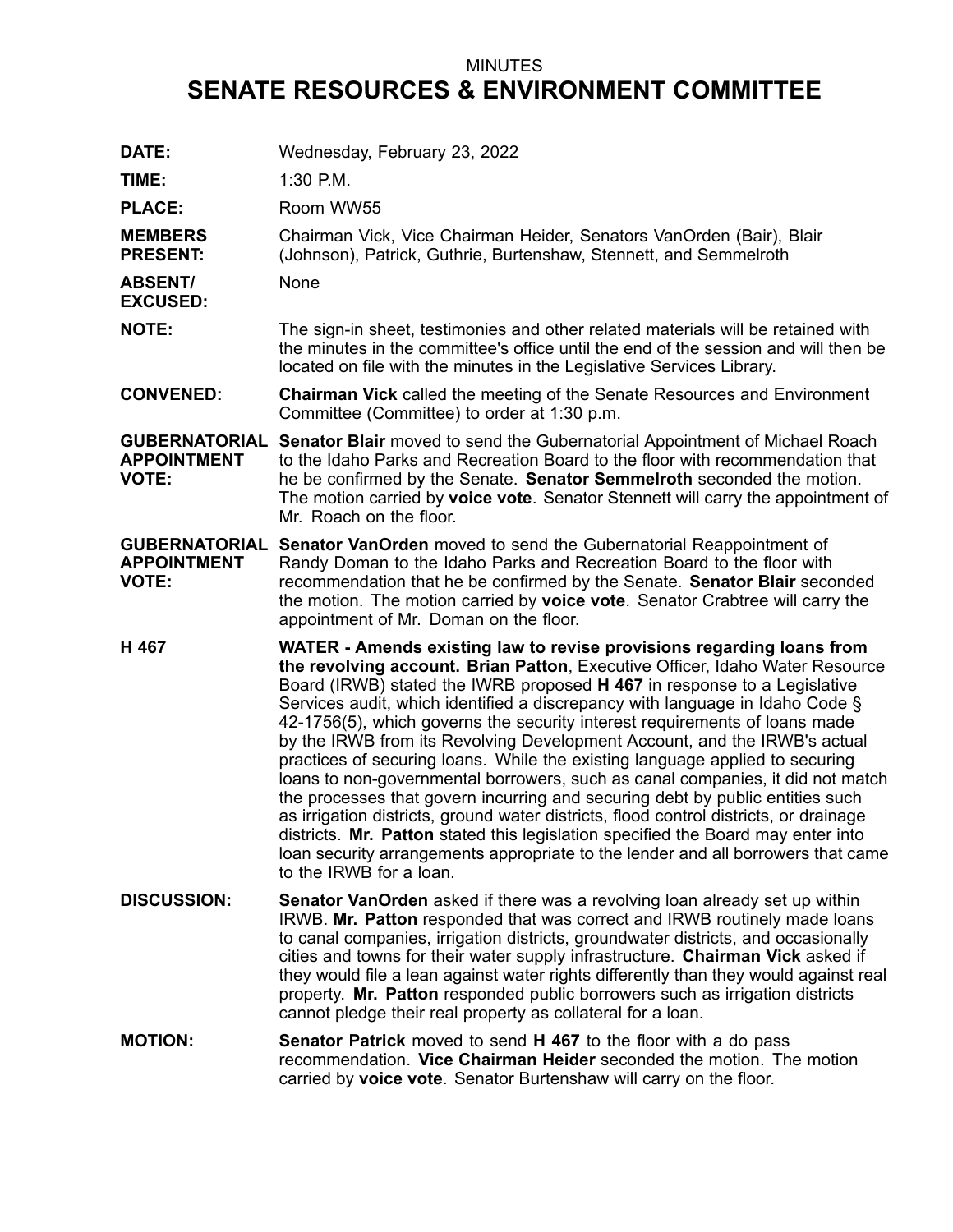## MINUTES **SENATE RESOURCES & ENVIRONMENT COMMITTEE**

| DATE:                                                      | Wednesday, February 23, 2022                                                                                                                                                                                                                                                                                                                                                                                                                                                                                                                                                                                                                                                                                                                                                                                                                                                                                                                                                                                                |
|------------------------------------------------------------|-----------------------------------------------------------------------------------------------------------------------------------------------------------------------------------------------------------------------------------------------------------------------------------------------------------------------------------------------------------------------------------------------------------------------------------------------------------------------------------------------------------------------------------------------------------------------------------------------------------------------------------------------------------------------------------------------------------------------------------------------------------------------------------------------------------------------------------------------------------------------------------------------------------------------------------------------------------------------------------------------------------------------------|
| TIME:                                                      | 1:30 P.M.                                                                                                                                                                                                                                                                                                                                                                                                                                                                                                                                                                                                                                                                                                                                                                                                                                                                                                                                                                                                                   |
| <b>PLACE:</b>                                              | Room WW55                                                                                                                                                                                                                                                                                                                                                                                                                                                                                                                                                                                                                                                                                                                                                                                                                                                                                                                                                                                                                   |
| <b>MEMBERS</b><br><b>PRESENT:</b>                          | Chairman Vick, Vice Chairman Heider, Senators VanOrden (Bair), Blair<br>(Johnson), Patrick, Guthrie, Burtenshaw, Stennett, and Semmelroth                                                                                                                                                                                                                                                                                                                                                                                                                                                                                                                                                                                                                                                                                                                                                                                                                                                                                   |
| <b>ABSENT/</b><br><b>EXCUSED:</b>                          | None                                                                                                                                                                                                                                                                                                                                                                                                                                                                                                                                                                                                                                                                                                                                                                                                                                                                                                                                                                                                                        |
| <b>NOTE:</b>                                               | The sign-in sheet, testimonies and other related materials will be retained with<br>the minutes in the committee's office until the end of the session and will then be<br>located on file with the minutes in the Legislative Services Library.                                                                                                                                                                                                                                                                                                                                                                                                                                                                                                                                                                                                                                                                                                                                                                            |
| <b>CONVENED:</b>                                           | <b>Chairman Vick</b> called the meeting of the Senate Resources and Environment<br>Committee (Committee) to order at 1:30 p.m.                                                                                                                                                                                                                                                                                                                                                                                                                                                                                                                                                                                                                                                                                                                                                                                                                                                                                              |
| <b>GUBERNATORIAL</b><br><b>APPOINTMENT</b><br><b>VOTE:</b> | <b>Senator Blair</b> moved to send the Gubernatorial Appointment of Michael Roach<br>to the Idaho Parks and Recreation Board to the floor with recommendation that<br>he be confirmed by the Senate. Senator Semmelroth seconded the motion.<br>The motion carried by voice vote. Senator Stennett will carry the appointment of<br>Mr. Roach on the floor.                                                                                                                                                                                                                                                                                                                                                                                                                                                                                                                                                                                                                                                                 |
| <b>APPOINTMENT</b><br><b>VOTE:</b>                         | <b>GUBERNATORIAL Senator VanOrden</b> moved to send the Gubernatorial Reappointment of<br>Randy Doman to the Idaho Parks and Recreation Board to the floor with<br>recommendation that he be confirmed by the Senate. Senator Blair seconded<br>the motion. The motion carried by voice vote. Senator Crabtree will carry the<br>appointment of Mr. Doman on the floor.                                                                                                                                                                                                                                                                                                                                                                                                                                                                                                                                                                                                                                                     |
| H 467                                                      | WATER - Amends existing law to revise provisions regarding loans from<br>the revolving account. Brian Patton, Executive Officer, Idaho Water Resource<br>Board (IRWB) stated the IWRB proposed H 467 in response to a Legislative<br>Services audit, which identified a discrepancy with language in Idaho Code §<br>42-1756(5), which governs the security interest requirements of loans made<br>by the IRWB from its Revolving Development Account, and the IRWB's actual<br>practices of securing loans. While the existing language applied to securing<br>loans to non-governmental borrowers, such as canal companies, it did not match<br>the processes that govern incurring and securing debt by public entities such<br>as irrigation districts, ground water districts, flood control districts, or drainage<br>districts. Mr. Patton stated this legislation specified the Board may enter into<br>loan security arrangements appropriate to the lender and all borrowers that came<br>to the IRWB for a loan. |
| <b>DISCUSSION:</b>                                         | <b>Senator VanOrden</b> asked if there was a revolving loan already set up within<br>IRWB. Mr. Patton responded that was correct and IRWB routinely made loans<br>to canal companies, irrigation districts, groundwater districts, and occasionally<br>cities and towns for their water supply infrastructure. Chairman Vick asked if<br>they would file a lean against water rights differently than they would against real<br>property. Mr. Patton responded public borrowers such as irrigation districts<br>cannot pledge their real property as collateral for a loan.                                                                                                                                                                                                                                                                                                                                                                                                                                                |
| <b>MOTION:</b>                                             | <b>Senator Patrick</b> moved to send <b>H 467</b> to the floor with a do pass<br>recommendation. Vice Chairman Heider seconded the motion. The motion<br>carried by voice vote. Senator Burtenshaw will carry on the floor.                                                                                                                                                                                                                                                                                                                                                                                                                                                                                                                                                                                                                                                                                                                                                                                                 |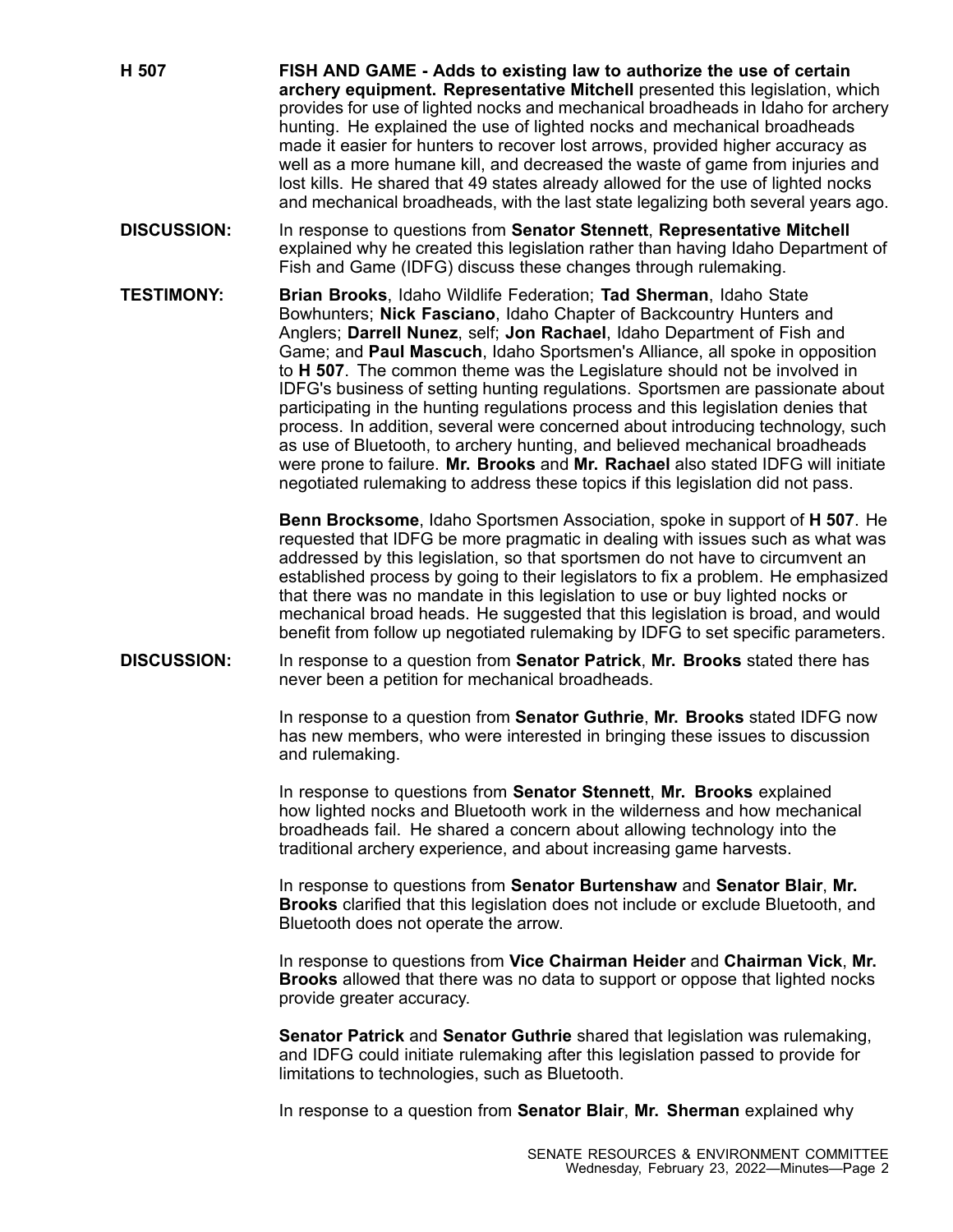**H 507 FISH AND GAME - Adds to existing law to authorize the use of certain archery equipment. Representative Mitchell** presented this legislation, which provides for use of lighted nocks and mechanical broadheads in Idaho for archery hunting. He explained the use of lighted nocks and mechanical broadheads made it easier for hunters to recover lost arrows, provided higher accuracy as well as <sup>a</sup> more humane kill, and decreased the waste of game from injuries and lost kills. He shared that 49 states already allowed for the use of lighted nocks and mechanical broadheads, with the last state legalizing both several years ago.

- **DISCUSSION:** In response to questions from **Senator Stennett**, **Representative Mitchell** explained why he created this legislation rather than having Idaho Department of Fish and Game (IDFG) discuss these changes through rulemaking.
- **TESTIMONY: Brian Brooks**, Idaho Wildlife Federation; **Tad Sherman**, Idaho State Bowhunters; **Nick Fasciano**, Idaho Chapter of Backcountry Hunters and Anglers; **Darrell Nunez**, self; **Jon Rachael**, Idaho Department of Fish and Game; and **Paul Mascuch**, Idaho Sportsmen's Alliance, all spoke in opposition to **H 507**. The common theme was the Legislature should not be involved in IDFG's business of setting hunting regulations. Sportsmen are passionate about participating in the hunting regulations process and this legislation denies that process. In addition, several were concerned about introducing technology, such as use of Bluetooth, to archery hunting, and believed mechanical broadheads were prone to failure. **Mr. Brooks** and **Mr. Rachael** also stated IDFG will initiate negotiated rulemaking to address these topics if this legislation did not pass.

**Benn Brocksome**, Idaho Sportsmen Association, spoke in support of **H 507**. He requested that IDFG be more pragmatic in dealing with issues such as what was addressed by this legislation, so that sportsmen do not have to circumvent an established process by going to their legislators to fix <sup>a</sup> problem. He emphasized that there was no mandate in this legislation to use or buy lighted nocks or mechanical broad heads. He suggested that this legislation is broad, and would benefit from follow up negotiated rulemaking by IDFG to set specific parameters.

**DISCUSSION:** In response to <sup>a</sup> question from **Senator Patrick**, **Mr. Brooks** stated there has never been <sup>a</sup> petition for mechanical broadheads.

> In response to <sup>a</sup> question from **Senator Guthrie**, **Mr. Brooks** stated IDFG now has new members, who were interested in bringing these issues to discussion and rulemaking.

In response to questions from **Senator Stennett**, **Mr. Brooks** explained how lighted nocks and Bluetooth work in the wilderness and how mechanical broadheads fail. He shared <sup>a</sup> concern about allowing technology into the traditional archery experience, and about increasing game harvests.

In response to questions from **Senator Burtenshaw** and **Senator Blair**, **Mr. Brooks** clarified that this legislation does not include or exclude Bluetooth, and Bluetooth does not operate the arrow.

In response to questions from **Vice Chairman Heider** and **Chairman Vick**, **Mr. Brooks** allowed that there was no data to support or oppose that lighted nocks provide greater accuracy.

**Senator Patrick** and **Senator Guthrie** shared that legislation was rulemaking, and IDFG could initiate rulemaking after this legislation passed to provide for limitations to technologies, such as Bluetooth.

In response to <sup>a</sup> question from **Senator Blair**, **Mr. Sherman** explained why